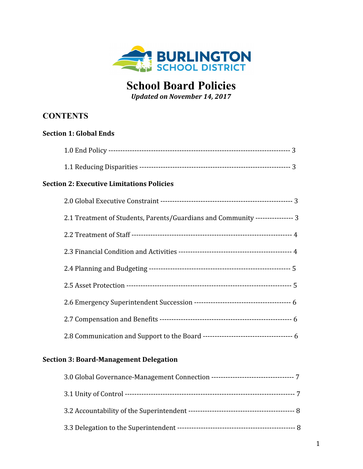

# **School Board Policies**

*Updated on November 14, 2017*

# **CONTENTS**

| <b>Section 1: Global Ends</b>                                                 |
|-------------------------------------------------------------------------------|
|                                                                               |
|                                                                               |
| <b>Section 2: Executive Limitations Policies</b>                              |
|                                                                               |
| 2.1 Treatment of Students, Parents/Guardians and Community ---------------- 3 |
|                                                                               |
|                                                                               |
|                                                                               |
|                                                                               |
|                                                                               |
|                                                                               |
|                                                                               |

# **Section 3: Board-Management Delegation**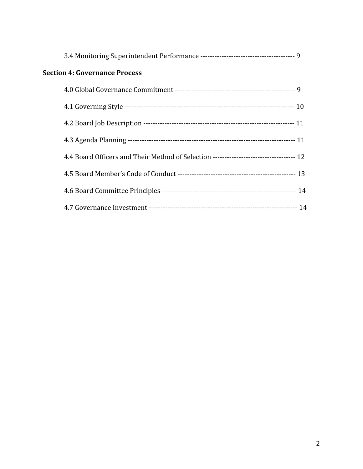| <b>Section 4: Governance Process</b>                                                   |  |
|----------------------------------------------------------------------------------------|--|
|                                                                                        |  |
|                                                                                        |  |
|                                                                                        |  |
|                                                                                        |  |
| 4.4 Board Officers and Their Method of Selection ---------------------------------- 12 |  |
|                                                                                        |  |
|                                                                                        |  |
|                                                                                        |  |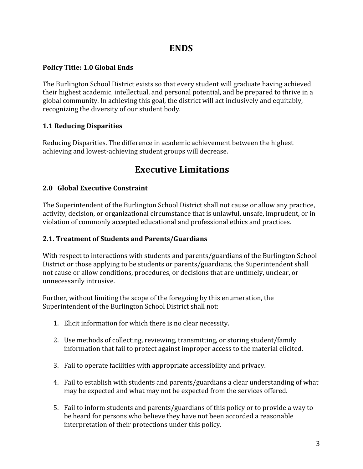# **ENDS**

### **Policy Title: 1.0 Global Ends**

The Burlington School District exists so that every student will graduate having achieved their highest academic, intellectual, and personal potential, and be prepared to thrive in a global community. In achieving this goal, the district will act inclusively and equitably, recognizing the diversity of our student body.

# **1.1 Reducing Disparities**

Reducing Disparities. The difference in academic achievement between the highest achieving and lowest-achieving student groups will decrease.

# **Executive Limitations**

### **2.0 Global Executive Constraint**

The Superintendent of the Burlington School District shall not cause or allow any practice, activity, decision, or organizational circumstance that is unlawful, unsafe, imprudent, or in violation of commonly accepted educational and professional ethics and practices.

#### **2.1. Treatment of Students and Parents/Guardians**

With respect to interactions with students and parents/guardians of the Burlington School District or those applying to be students or parents/guardians, the Superintendent shall not cause or allow conditions, procedures, or decisions that are untimely, unclear, or unnecessarily intrusive.

Further, without limiting the scope of the foregoing by this enumeration, the Superintendent of the Burlington School District shall not:

- 1. Elicit information for which there is no clear necessity.
- 2. Use methods of collecting, reviewing, transmitting, or storing student/family information that fail to protect against improper access to the material elicited.
- 3. Fail to operate facilities with appropriate accessibility and privacy.
- 4. Fail to establish with students and parents/guardians a clear understanding of what may be expected and what may not be expected from the services offered.
- 5. Fail to inform students and parents/guardians of this policy or to provide a way to be heard for persons who believe they have not been accorded a reasonable interpretation of their protections under this policy.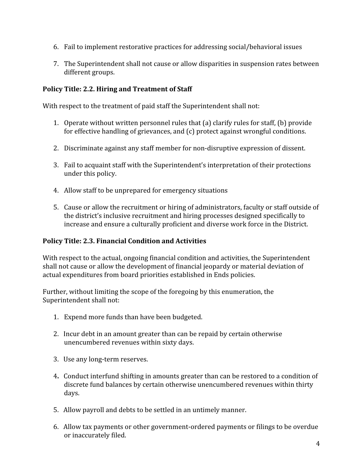- 6. Fail to implement restorative practices for addressing social/behavioral issues
- 7. The Superintendent shall not cause or allow disparities in suspension rates between different groups.

### **Policy Title: 2.2. Hiring and Treatment of Staff**

With respect to the treatment of paid staff the Superintendent shall not:

- 1. Operate without written personnel rules that (a) clarify rules for staff, (b) provide for effective handling of grievances, and (c) protect against wrongful conditions.
- 2. Discriminate against any staff member for non-disruptive expression of dissent.
- 3. Fail to acquaint staff with the Superintendent's interpretation of their protections under this policy.
- 4. Allow staff to be unprepared for emergency situations
- 5. Cause or allow the recruitment or hiring of administrators, faculty or staff outside of the district's inclusive recruitment and hiring processes designed specifically to increase and ensure a culturally proficient and diverse work force in the District.

#### **Policy Title: 2.3. Financial Condition and Activities**

With respect to the actual, ongoing financial condition and activities, the Superintendent shall not cause or allow the development of financial jeopardy or material deviation of actual expenditures from board priorities established in Ends policies.

Further, without limiting the scope of the foregoing by this enumeration, the Superintendent shall not:

- 1. Expend more funds than have been budgeted.
- 2. Incur debt in an amount greater than can be repaid by certain otherwise unencumbered revenues within sixty days.
- 3. Use any long-term reserves.
- 4**.** Conduct interfund shifting in amounts greater than can be restored to a condition of discrete fund balances by certain otherwise unencumbered revenues within thirty days.
- 5. Allow payroll and debts to be settled in an untimely manner.
- 6. Allow tax payments or other government-ordered payments or filings to be overdue or inaccurately filed.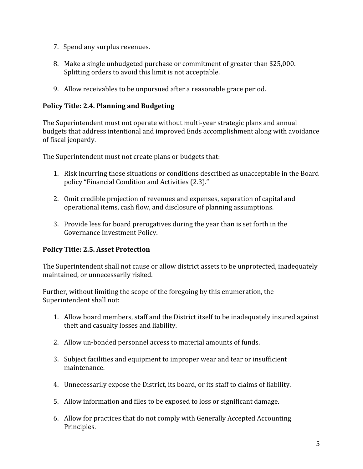- 7. Spend any surplus revenues.
- 8. Make a single unbudgeted purchase or commitment of greater than \$25,000. Splitting orders to avoid this limit is not acceptable.
- 9. Allow receivables to be unpursued after a reasonable grace period.

#### **Policy Title: 2.4. Planning and Budgeting**

The Superintendent must not operate without multi-year strategic plans and annual budgets that address intentional and improved Ends accomplishment along with avoidance of fiscal jeopardy.

The Superintendent must not create plans or budgets that:

- 1. Risk incurring those situations or conditions described as unacceptable in the Board policy "Financial Condition and Activities (2.3)."
- 2. Omit credible projection of revenues and expenses, separation of capital and operational items, cash flow, and disclosure of planning assumptions.
- 3. Provide less for board prerogatives during the year than is set forth in the Governance Investment Policy.

#### **Policy Title: 2.5. Asset Protection**

The Superintendent shall not cause or allow district assets to be unprotected, inadequately maintained, or unnecessarily risked.

Further, without limiting the scope of the foregoing by this enumeration, the Superintendent shall not:

- 1. Allow board members, staff and the District itself to be inadequately insured against theft and casualty losses and liability.
- 2. Allow un-bonded personnel access to material amounts of funds.
- 3. Subject facilities and equipment to improper wear and tear or insufficient maintenance.
- 4. Unnecessarily expose the District, its board, or its staff to claims of liability.
- 5. Allow information and files to be exposed to loss or significant damage.
- 6. Allow for practices that do not comply with Generally Accepted Accounting Principles.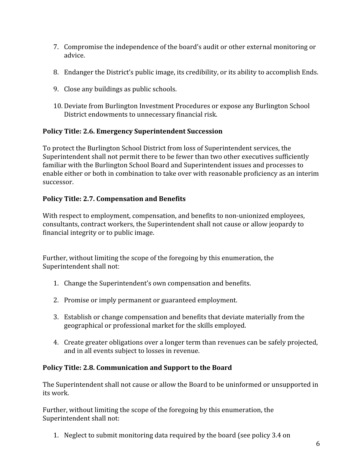- 7. Compromise the independence of the board's audit or other external monitoring or advice.
- 8. Endanger the District's public image, its credibility, or its ability to accomplish Ends.
- 9. Close any buildings as public schools.
- 10. Deviate from Burlington Investment Procedures or expose any Burlington School District endowments to unnecessary financial risk.

#### **Policy Title: 2.6. Emergency Superintendent Succession**

To protect the Burlington School District from loss of Superintendent services, the Superintendent shall not permit there to be fewer than two other executives sufficiently familiar with the Burlington School Board and Superintendent issues and processes to enable either or both in combination to take over with reasonable proficiency as an interim successor.

#### **Policy Title: 2.7. Compensation and Benefits**

With respect to employment, compensation, and benefits to non-unionized employees, consultants, contract workers, the Superintendent shall not cause or allow jeopardy to financial integrity or to public image.

Further, without limiting the scope of the foregoing by this enumeration, the Superintendent shall not:

- 1. Change the Superintendent's own compensation and benefits.
- 2. Promise or imply permanent or guaranteed employment.
- 3. Establish or change compensation and benefits that deviate materially from the geographical or professional market for the skills employed.
- 4. Create greater obligations over a longer term than revenues can be safely projected, and in all events subject to losses in revenue.

#### **Policy Title: 2.8. Communication and Support to the Board**

The Superintendent shall not cause or allow the Board to be uninformed or unsupported in its work.

Further, without limiting the scope of the foregoing by this enumeration, the Superintendent shall not:

1. Neglect to submit monitoring data required by the board (see policy 3.4 on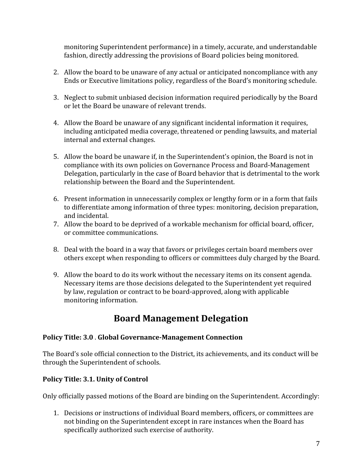monitoring Superintendent performance) in a timely, accurate, and understandable fashion, directly addressing the provisions of Board policies being monitored.

- 2. Allow the board to be unaware of any actual or anticipated noncompliance with any Ends or Executive limitations policy, regardless of the Board's monitoring schedule.
- 3. Neglect to submit unbiased decision information required periodically by the Board or let the Board be unaware of relevant trends.
- 4. Allow the Board be unaware of any significant incidental information it requires, including anticipated media coverage, threatened or pending lawsuits, and material internal and external changes.
- 5. Allow the board be unaware if, in the Superintendent's opinion, the Board is not in compliance with its own policies on Governance Process and Board-Management Delegation, particularly in the case of Board behavior that is detrimental to the work relationship between the Board and the Superintendent.
- 6. Present information in unnecessarily complex or lengthy form or in a form that fails to differentiate among information of three types: monitoring, decision preparation, and incidental.
- 7. Allow the board to be deprived of a workable mechanism for official board, officer, or committee communications.
- 8. Deal with the board in a way that favors or privileges certain board members over others except when responding to officers or committees duly charged by the Board.
- 9. Allow the board to do its work without the necessary items on its consent agenda. Necessary items are those decisions delegated to the Superintendent yet required by law, regulation or contract to be board-approved, along with applicable monitoring information.

# **Board Management Delegation**

#### **Policy Title: 3.0** . **Global Governance-Management Connection**

The Board's sole official connection to the District, its achievements, and its conduct will be through the Superintendent of schools.

# **Policy Title: 3.1. Unity of Control**

Only officially passed motions of the Board are binding on the Superintendent. Accordingly:

1. Decisions or instructions of individual Board members, officers, or committees are not binding on the Superintendent except in rare instances when the Board has specifically authorized such exercise of authority.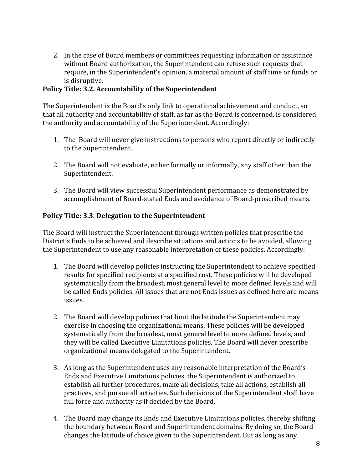2. In the case of Board members or committees requesting information or assistance without Board authorization, the Superintendent can refuse such requests that require, in the Superintendent's opinion, a material amount of staff time or funds or is disruptive.

#### **Policy Title: 3.2. Accountability of the Superintendent**

The Superintendent is the Board's only link to operational achievement and conduct, so that all authority and accountability of staff, as far as the Board is concerned, is considered the authority and accountability of the Superintendent. Accordingly:

- 1. The Board will never give instructions to persons who report directly or indirectly to the Superintendent.
- 2. The Board will not evaluate, either formally or informally, any staff other than the Superintendent.
- 3. The Board will view successful Superintendent performance as demonstrated by accomplishment of Board-stated Ends and avoidance of Board-proscribed means.

#### **Policy Title: 3.3. Delegation to the Superintendent**

The Board will instruct the Superintendent through written policies that prescribe the District's Ends to be achieved and describe situations and actions to be avoided, allowing the Superintendent to use any reasonable interpretation of these policies. Accordingly:

- 1. The Board will develop policies instructing the Superintendent to achieve specified results for specified recipients at a specified cost. These policies will be developed systematically from the broadest, most general level to more defined levels and will be called Ends policies. All issues that are not Ends issues as defined here are means issues.
- 2. The Board will develop policies that limit the latitude the Superintendent may exercise in choosing the organizational means. These policies will be developed systematically from the broadest, most general level to more defined levels, and they will be called Executive Limitations policies. The Board will never prescribe organizational means delegated to the Superintendent.
- 3. As long as the Superintendent uses any reasonable interpretation of the Board's Ends and Executive Limitations policies, the Superintendent is authorized to establish all further procedures, make all decisions, take all actions, establish all practices, and pursue all activities. Such decisions of the Superintendent shall have full force and authority as if decided by the Board.
- 4. The Board may change its Ends and Executive Limitations policies, thereby shifting the boundary between Board and Superintendent domains. By doing so, the Board changes the latitude of choice given to the Superintendent. But as long as any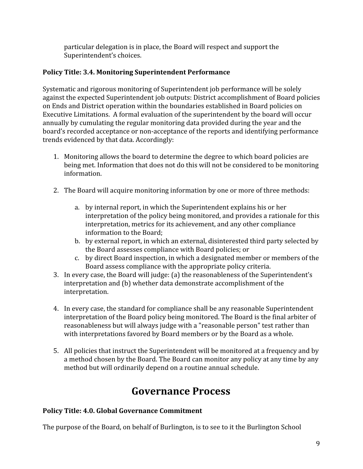particular delegation is in place, the Board will respect and support the Superintendent's choices.

#### **Policy Title: 3.4. Monitoring Superintendent Performance**

Systematic and rigorous monitoring of Superintendent job performance will be solely against the expected Superintendent job outputs: District accomplishment of Board policies on Ends and District operation within the boundaries established in Board policies on Executive Limitations. A formal evaluation of the superintendent by the board will occur annually by cumulating the regular monitoring data provided during the year and the board's recorded acceptance or non-acceptance of the reports and identifying performance trends evidenced by that data. Accordingly:

- 1. Monitoring allows the board to determine the degree to which board policies are being met. Information that does not do this will not be considered to be monitoring information.
- 2. The Board will acquire monitoring information by one or more of three methods:
	- a. by internal report, in which the Superintendent explains his or her interpretation of the policy being monitored, and provides a rationale for this interpretation, metrics for its achievement, and any other compliance information to the Board;
	- b. by external report, in which an external, disinterested third party selected by the Board assesses compliance with Board policies; or
	- c. by direct Board inspection, in which a designated member or members of the Board assess compliance with the appropriate policy criteria.
- 3. In every case, the Board will judge: (a) the reasonableness of the Superintendent's interpretation and (b) whether data demonstrate accomplishment of the interpretation.
- 4. In every case, the standard for compliance shall be any reasonable Superintendent interpretation of the Board policy being monitored. The Board is the final arbiter of reasonableness but will always judge with a "reasonable person" test rather than with interpretations favored by Board members or by the Board as a whole.
- 5. All policies that instruct the Superintendent will be monitored at a frequency and by a method chosen by the Board. The Board can monitor any policy at any time by any method but will ordinarily depend on a routine annual schedule.

# **Governance Process**

# **Policy Title: 4.0. Global Governance Commitment**

The purpose of the Board, on behalf of Burlington, is to see to it the Burlington School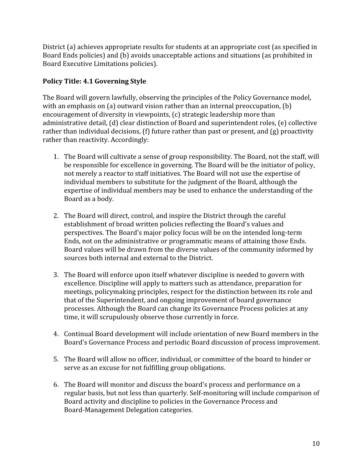District (a) achieves appropriate results for students at an appropriate cost (as specified in Board Ends policies) and (b) avoids unacceptable actions and situations (as prohibited in Board Executive Limitations policies).

# **Policy Title: 4.1 Governing Style**

The Board will govern lawfully, observing the principles of the Policy Governance model, with an emphasis on (a) outward vision rather than an internal preoccupation, (b) encouragement of diversity in viewpoints, (c) strategic leadership more than administrative detail, (d) clear distinction of Board and superintendent roles, (e) collective rather than individual decisions, (f) future rather than past or present, and (g) proactivity rather than reactivity. Accordingly:

- 1. The Board will cultivate a sense of group responsibility. The Board, not the staff, will be responsible for excellence in governing. The Board will be the initiator of policy, not merely a reactor to staff initiatives. The Board will not use the expertise of individual members to substitute for the judgment of the Board, although the expertise of individual members may be used to enhance the understanding of the Board as a body.
- 2. The Board will direct, control, and inspire the District through the careful establishment of broad written policies reflecting the Board's values and perspectives. The Board's major policy focus will be on the intended long-term Ends, not on the administrative or programmatic means of attaining those Ends. Board values will be drawn from the diverse values of the community informed by sources both internal and external to the District.
- 3. The Board will enforce upon itself whatever discipline is needed to govern with excellence. Discipline will apply to matters such as attendance, preparation for meetings, policymaking principles, respect for the distinction between its role and that of the Superintendent, and ongoing improvement of board governance processes. Although the Board can change its Governance Process policies at any time, it will scrupulously observe those currently in force.
- 4. Continual Board development will include orientation of new Board members in the Board's Governance Process and periodic Board discussion of process improvement.
- 5. The Board will allow no officer, individual, or committee of the board to hinder or serve as an excuse for not fulfilling group obligations.
- 6. The Board will monitor and discuss the board's process and performance on a regular basis, but not less than quarterly. Self-monitoring will include comparison of Board activity and discipline to policies in the Governance Process and Board-Management Delegation categories.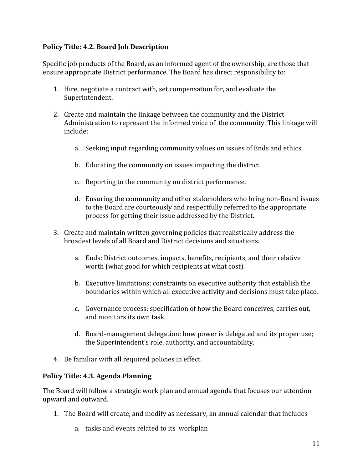#### **Policy Title: 4.2. Board Job Description**

Specific job products of the Board, as an informed agent of the ownership, are those that ensure appropriate District performance. The Board has direct responsibility to:

- 1. Hire, negotiate a contract with, set compensation for, and evaluate the Superintendent.
- 2. Create and maintain the linkage between the community and the District Administration to represent the informed voice of the community. This linkage will include:
	- a. Seeking input regarding community values on issues of Ends and ethics.
	- b. Educating the community on issues impacting the district.
	- c. Reporting to the community on district performance.
	- d. Ensuring the community and other stakeholders who bring non-Board issues to the Board are courteously and respectfully referred to the appropriate process for getting their issue addressed by the District.
- 3. Create and maintain written governing policies that realistically address the broadest levels of all Board and District decisions and situations.
	- a. Ends: District outcomes, impacts, benefits, recipients, and their relative worth (what good for which recipients at what cost).
	- b. Executive limitations: constraints on executive authority that establish the boundaries within which all executive activity and decisions must take place.
	- c. Governance process: specification of how the Board conceives, carries out, and monitors its own task.
	- d. Board-management delegation: how power is delegated and its proper use; the Superintendent's role, authority, and accountability.
- 4. Be familiar with all required policies in effect.

#### **Policy Title: 4.3. Agenda Planning**

The Board will follow a strategic work plan and annual agenda that focuses our attention upward and outward.

- 1. The Board will create, and modify as necessary, an annual calendar that includes
	- a. tasks and events related to its workplan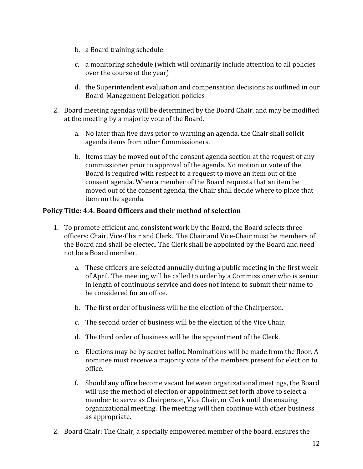- b. a Board training schedule
- c. a monitoring schedule (which will ordinarily include attention to all policies over the course of the year)
- d. the Superintendent evaluation and compensation decisions as outlined in our Board-Management Delegation policies
- 2. Board meeting agendas will be determined by the Board Chair, and may be modified at the meeting by a majority vote of the Board.
	- a. No later than five days prior to warning an agenda, the Chair shall solicit agenda items from other Commissioners.
	- b. Items may be moved out of the consent agenda section at the request of any commissioner prior to approval of the agenda. No motion or vote of the Board is required with respect to a request to move an item out of the consent agenda. When a member of the Board requests that an item be moved out of the consent agenda, the Chair shall decide where to place that item on the agenda.

#### **Policy Title: 4.4. Board Officers and their method of selection**

- 1. To promote efficient and consistent work by the Board, the Board selects three officers: Chair, Vice-Chair and Clerk. The Chair and Vice-Chair must be members of the Board and shall be elected. The Clerk shall be appointed by the Board and need not be a Board member.
	- a. These officers are selected annually during a public meeting in the first week of April. The meeting will be called to order by a Commissioner who is senior in length of continuous service and does not intend to submit their name to be considered for an office.
	- b. The first order of business will be the election of the Chairperson.
	- c. The second order of business will be the election of the Vice Chair.
	- d. The third order of business will be the appointment of the Clerk.
	- e. Elections may be by secret ballot. Nominations will be made from the floor. A nominee must receive a majority vote of the members present for election to office.
	- f. Should any office become vacant between organizational meetings, the Board will use the method of election or appointment set forth above to select a member to serve as Chairperson, Vice Chair, or Clerk until the ensuing organizational meeting. The meeting will then continue with other business as appropriate.
- 2. Board Chair: The Chair, a specially empowered member of the board, ensures the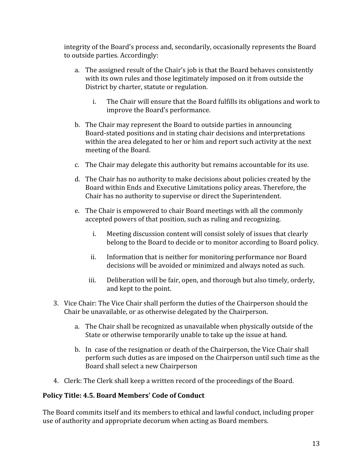integrity of the Board's process and, secondarily, occasionally represents the Board to outside parties. Accordingly:

- a. The assigned result of the Chair's job is that the Board behaves consistently with its own rules and those legitimately imposed on it from outside the District by charter, statute or regulation.
	- i. The Chair will ensure that the Board fulfills its obligations and work to improve the Board's performance.
- b. The Chair may represent the Board to outside parties in announcing Board-stated positions and in stating chair decisions and interpretations within the area delegated to her or him and report such activity at the next meeting of the Board.
- c. The Chair may delegate this authority but remains accountable for its use.
- d. The Chair has no authority to make decisions about policies created by the Board within Ends and Executive Limitations policy areas. Therefore, the Chair has no authority to supervise or direct the Superintendent.
- e. The Chair is empowered to chair Board meetings with all the commonly accepted powers of that position, such as ruling and recognizing.
	- i. Meeting discussion content will consist solely of issues that clearly belong to the Board to decide or to monitor according to Board policy.
	- ii. Information that is neither for monitoring performance nor Board decisions will be avoided or minimized and always noted as such.
	- iii. Deliberation will be fair, open, and thorough but also timely, orderly, and kept to the point.
- 3. Vice Chair: The Vice Chair shall perform the duties of the Chairperson should the Chair be unavailable, or as otherwise delegated by the Chairperson.
	- a. The Chair shall be recognized as unavailable when physically outside of the State or otherwise temporarily unable to take up the issue at hand.
	- b. In case of the resignation or death of the Chairperson, the Vice Chair shall perform such duties as are imposed on the Chairperson until such time as the Board shall select a new Chairperson
- 4. Clerk: The Clerk shall keep a written record of the proceedings of the Board.

#### **Policy Title: 4.5. Board Members' Code of Conduct**

The Board commits itself and its members to ethical and lawful conduct, including proper use of authority and appropriate decorum when acting as Board members.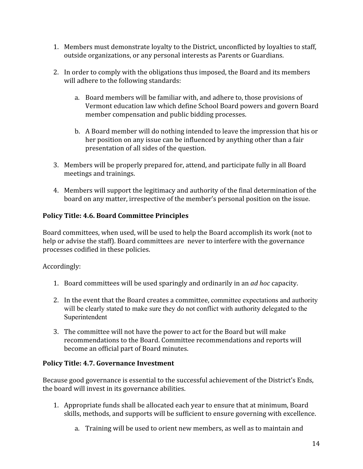- 1. Members must demonstrate loyalty to the District, unconflicted by loyalties to staff, outside organizations, or any personal interests as Parents or Guardians.
- 2. In order to comply with the obligations thus imposed, the Board and its members will adhere to the following standards:
	- a. Board members will be familiar with, and adhere to, those provisions of Vermont education law which define School Board powers and govern Board member compensation and public bidding processes.
	- b. A Board member will do nothing intended to leave the impression that his or her position on any issue can be influenced by anything other than a fair presentation of all sides of the question.
- 3. Members will be properly prepared for, attend, and participate fully in all Board meetings and trainings.
- 4. Members will support the legitimacy and authority of the final determination of the board on any matter, irrespective of the member's personal position on the issue.

### **Policy Title: 4.6. Board Committee Principles**

Board committees, when used, will be used to help the Board accomplish its work (not to help or advise the staff). Board committees are never to interfere with the governance processes codified in these policies.

Accordingly:

- 1. Board committees will be used sparingly and ordinarily in an *ad hoc* capacity.
- 2. In the event that the Board creates a committee, committee expectations and authority will be clearly stated to make sure they do not conflict with authority delegated to the Superintendent
- 3. The committee will not have the power to act for the Board but will make recommendations to the Board. Committee recommendations and reports will become an official part of Board minutes.

# **Policy Title: 4.7. Governance Investment**

Because good governance is essential to the successful achievement of the District's Ends, the board will invest in its governance abilities.

- 1. Appropriate funds shall be allocated each year to ensure that at minimum, Board skills, methods, and supports will be sufficient to ensure governing with excellence.
	- a. Training will be used to orient new members, as well as to maintain and